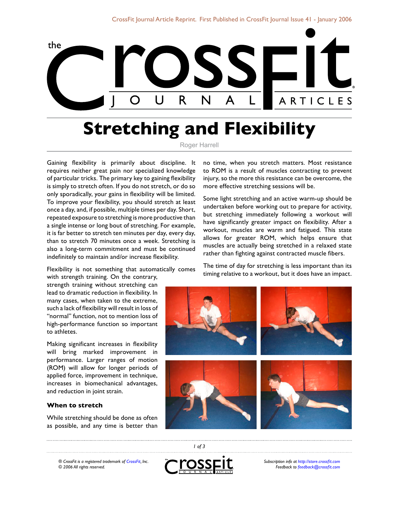

## **Stretching and Flexibility**

Roger Harrell

Gaining flexibility is primarily about discipline. It requires neither great pain nor specialized knowledge of particular tricks. The primary key to gaining flexibility is simply to stretch often. If you do not stretch, or do so only sporadically, your gains in flexibility will be limited. To improve your flexibility, you should stretch at least once a day, and, if possible, multiple times per day. Short, repeated exposure to stretching is more productive than a single intense or long bout of stretching. For example, it is far better to stretch ten minutes per day, every day, than to stretch 70 minutes once a week. Stretching is also a long-term commitment and must be continued indefinitely to maintain and/or increase flexibility.

Flexibility is not something that automatically comes

with strength training. On the contrary, strength training without stretching can lead to dramatic reduction in flexibility. In many cases, when taken to the extreme, such a lack of flexibility will result in loss of "normal" function, not to mention loss of high-performance function so important to athletes.

Making significant increases in flexibility will bring marked improvement in performance. Larger ranges of motion (ROM) will allow for longer periods of applied force, improvement in technique, increases in biomechanical advantages, and reduction in joint strain.

## **When to stretch**

While stretching should be done as often as possible, and any time is better than no time, when you stretch matters. Most resistance to ROM is a result of muscles contracting to prevent injury, so the more this resistance can be overcome, the more effective stretching sessions will be.

Some light stretching and an active warm-up should be undertaken before working out to prepare for activity, but stretching immediately following a workout will have significantly greater impact on flexibility. After a workout, muscles are warm and fatigued. This state allows for greater ROM, which helps ensure that muscles are actually being stretched in a relaxed state rather than fighting against contracted muscle fibers.

The time of day for stretching is less important than its timing relative to a workout, but it does have an impact.



*® CrossFit is a registered trademark of [CrossFit,](http://www.crossfit.com) Inc. © 2006 All rights reserved.*



 *of 3*

*Subscription info at [http://store.crossfit.com](http://journal.crossfit.com) Feedback to [feedback@crossfit.com](mailto:feedback@crossfit.com)*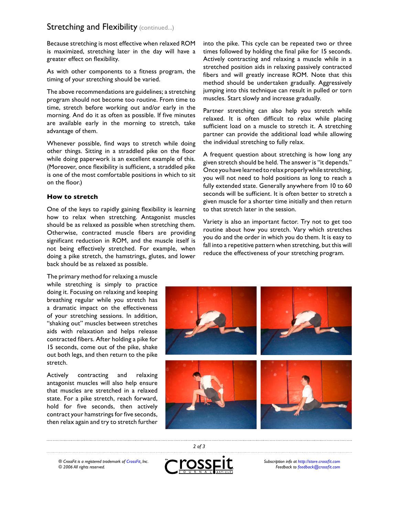## **Stretching and Flexibility (continued...)**

Because stretching is most effective when relaxed ROM is maximized, stretching later in the day will have a greater effect on flexibility.

As with other components to a fitness program, the timing of your stretching should be varied.

The above recommendations are guidelines; a stretching program should not become too routine. From time to time, stretch before working out and/or early in the morning. And do it as often as possible. If five minutes are available early in the morning to stretch, take advantage of them.

Whenever possible, find ways to stretch while doing other things. Sitting in a straddled pike on the floor while doing paperwork is an excellent example of this. (Moreover, once flexibility is sufficient, a straddled pike is one of the most comfortable positions in which to sit on the floor.)

## **How to stretch**

One of the keys to rapidly gaining flexibility is learning how to relax when stretching. Antagonist muscles should be as relaxed as possible when stretching them. Otherwise, contracted muscle fibers are providing significant reduction in ROM, and the muscle itself is not being effectively stretched. For example, when doing a pike stretch, the hamstrings, glutes, and lower back should be as relaxed as possible.

The primary method for relaxing a muscle while stretching is simply to practice doing it. Focusing on relaxing and keeping breathing regular while you stretch has a dramatic impact on the effectiveness of your stretching sessions. In addition, "shaking out" muscles between stretches aids with relaxation and helps release contracted fibers. After holding a pike for 15 seconds, come out of the pike, shake out both legs, and then return to the pike stretch.

Actively contracting and relaxing antagonist muscles will also help ensure that muscles are stretched in a relaxed state. For a pike stretch, reach forward, hold for five seconds, then actively contract your hamstrings for five seconds, then relax again and try to stretch further into the pike. This cycle can be repeated two or three times followed by holding the final pike for 15 seconds. Actively contracting and relaxing a muscle while in a stretched position aids in relaxing passively contracted fibers and will greatly increase ROM. Note that this method should be undertaken gradually. Aggressively jumping into this technique can result in pulled or torn muscles. Start slowly and increase gradually.

Partner stretching can also help you stretch while relaxed. It is often difficult to relax while placing sufficient load on a muscle to stretch it. A stretching partner can provide the additional load while allowing the individual stretching to fully relax.

A frequent question about stretching is how long any given stretch should be held. The answer is "it depends." Once you have learned to relax properly while stretching, you will not need to hold positions as long to reach a fully extended state. Generally anywhere from 10 to 60 seconds will be sufficient. It is often better to stretch a given muscle for a shorter time initially and then return to that stretch later in the session.

Variety is also an important factor. Try not to get too routine about how you stretch. Vary which stretches you do and the order in which you do them. It is easy to fall into a repetitive pattern when stretching, but this will reduce the effectiveness of your stretching program.



*® CrossFit is a registered trademark of [CrossFit,](http://www.crossfit.com) Inc. © 2006 All rights reserved.*



 *of 3*

*Subscription info at [http://store.crossfit.com](http://journal.crossfit.com) Feedback to [feedback@crossfit.com](mailto:feedback@crossfit.com)*